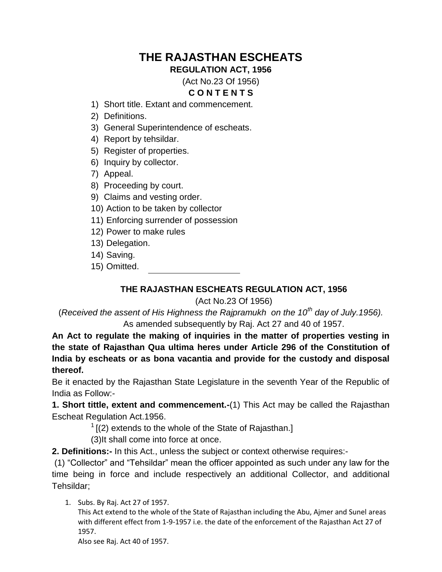# **THE RAJASTHAN ESCHEATS**

**REGULATION ACT, 1956**

### (Act No.23 Of 1956) **C O N T E N T S**

- 1) Short title. Extant and commencement.
- 2) Definitions.
- 3) General Superintendence of escheats.
- 4) Report by tehsildar.
- 5) Register of properties.
- 6) Inquiry by collector.
- 7) Appeal.
- 8) Proceeding by court.
- 9) Claims and vesting order.
- 10) Action to be taken by collector
- 11) Enforcing surrender of possession
- 12) Power to make rules
- 13) Delegation.
- 14) Saving.
- 15) Omitted.

# **THE RAJASTHAN ESCHEATS REGULATION ACT, 1956**

# (Act No.23 Of 1956)

(*Received the assent of His Highness the Rajpramukh on the 10th day of July.1956).* As amended subsequently by Raj. Act 27 and 40 of 1957.

**An Act to regulate the making of inquiries in the matter of properties vesting in the state of Rajasthan Qua ultima heres under Article 296 of the Constitution of India by escheats or as bona vacantia and provide for the custody and disposal thereof.**

Be it enacted by the Rajasthan State Legislature in the seventh Year of the Republic of India as Follow:-

**1. Short tittle, extent and commencement.-**(1) This Act may be called the Rajasthan Escheat Regulation Act.1956.

 $1$ [(2) extends to the whole of the State of Rajasthan.]

(3)It shall come into force at once.

**2. Definitions:-** In this Act., unless the subject or context otherwise requires:-

(1) "Collector" and "Tehsildar" mean the officer appointed as such under any law for the time being in force and include respectively an additional Collector, and additional Tehsildar;

1. Subs. By Raj. Act 27 of 1957.

This Act extend to the whole of the State of Rajasthan including the Abu, Ajmer and Sunel areas with different effect from 1-9-1957 i.e. the date of the enforcement of the Rajasthan Act 27 of 1957.

Also see Raj. Act 40 of 1957.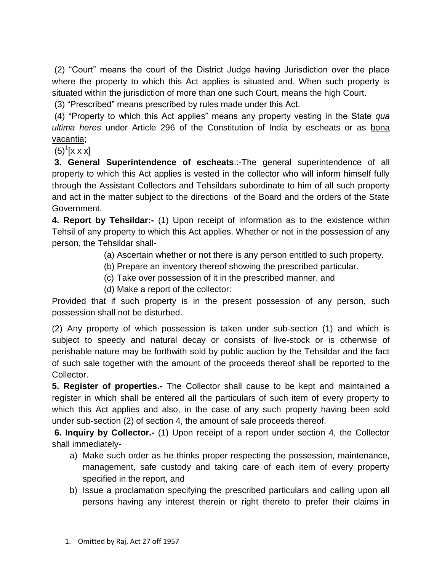(2) "Court" means the court of the District Judge having Jurisdiction over the place where the property to which this Act applies is situated and. When such property is situated within the jurisdiction of more than one such Court, means the high Court.

(3) "Prescribed" means prescribed by rules made under this Act.

(4) "Property to which this Act applies" means any property vesting in the State *qua ultima heres* under Article 296 of the Constitution of India by escheats or as bona vacantia;

 $(5)^{1}$ [x x x]

**3. General Superintendence of escheats**.:-The general superintendence of all property to which this Act applies is vested in the collector who will inform himself fully through the Assistant Collectors and Tehsildars subordinate to him of all such property and act in the matter subject to the directions of the Board and the orders of the State Government.

**4. Report by Tehsildar:-** (1) Upon receipt of information as to the existence within Tehsil of any property to which this Act applies. Whether or not in the possession of any person, the Tehsildar shall-

(a) Ascertain whether or not there is any person entitled to such property.

- (b) Prepare an inventory thereof showing the prescribed particular.
- (c) Take over possession of it in the prescribed manner, and
- (d) Make a report of the collector:

Provided that if such property is in the present possession of any person, such possession shall not be disturbed.

(2) Any property of which possession is taken under sub-section (1) and which is subject to speedy and natural decay or consists of live-stock or is otherwise of perishable nature may be forthwith sold by public auction by the Tehsildar and the fact of such sale together with the amount of the proceeds thereof shall be reported to the Collector.

**5. Register of properties.-** The Collector shall cause to be kept and maintained a register in which shall be entered all the particulars of such item of every property to which this Act applies and also, in the case of any such property having been sold under sub-section (2) of section 4, the amount of sale proceeds thereof.

**6. Inquiry by Collector.-** (1) Upon receipt of a report under section 4, the Collector shall immediately-

- a) Make such order as he thinks proper respecting the possession, maintenance, management, safe custody and taking care of each item of every property specified in the report, and
- b) Issue a proclamation specifying the prescribed particulars and calling upon all persons having any interest therein or right thereto to prefer their claims in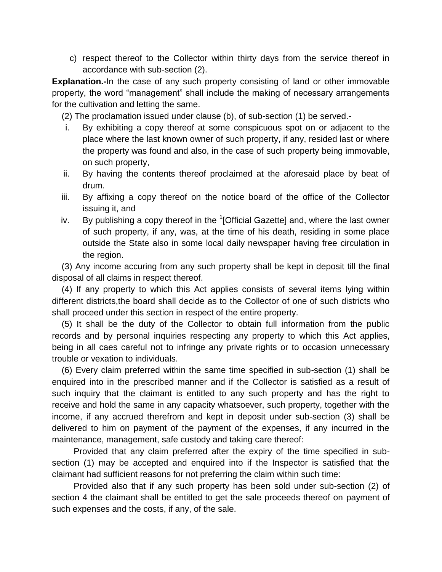c) respect thereof to the Collector within thirty days from the service thereof in accordance with sub-section (2).

**Explanation.-**In the case of any such property consisting of land or other immovable property, the word "management" shall include the making of necessary arrangements for the cultivation and letting the same.

(2) The proclamation issued under clause (b), of sub-section (1) be served.-

- i. By exhibiting a copy thereof at some conspicuous spot on or adjacent to the place where the last known owner of such property, if any, resided last or where the property was found and also, in the case of such property being immovable, on such property,
- ii. By having the contents thereof proclaimed at the aforesaid place by beat of drum.
- iii. By affixing a copy thereof on the notice board of the office of the Collector issuing it, and
- iv. By publishing a copy thereof in the  $1$ [Official Gazette] and, where the last owner of such property, if any, was, at the time of his death, residing in some place outside the State also in some local daily newspaper having free circulation in the region.

 (3) Any income accuring from any such property shall be kept in deposit till the final disposal of all claims in respect thereof.

 (4) If any property to which this Act applies consists of several items lying within different districts,the board shall decide as to the Collector of one of such districts who shall proceed under this section in respect of the entire property.

 (5) It shall be the duty of the Collector to obtain full information from the public records and by personal inquiries respecting any property to which this Act applies, being in all caes careful not to infringe any private rights or to occasion unnecessary trouble or vexation to individuals.

 (6) Every claim preferred within the same time specified in sub-section (1) shall be enquired into in the prescribed manner and if the Collector is satisfied as a result of such inquiry that the claimant is entitled to any such property and has the right to receive and hold the same in any capacity whatsoever, such property, together with the income, if any accrued therefrom and kept in deposit under sub-section (3) shall be delivered to him on payment of the payment of the expenses, if any incurred in the maintenance, management, safe custody and taking care thereof:

 Provided that any claim preferred after the expiry of the time specified in subsection (1) may be accepted and enquired into if the Inspector is satisfied that the claimant had sufficient reasons for not preferring the claim within such time:

 Provided also that if any such property has been sold under sub-section (2) of section 4 the claimant shall be entitled to get the sale proceeds thereof on payment of such expenses and the costs, if any, of the sale.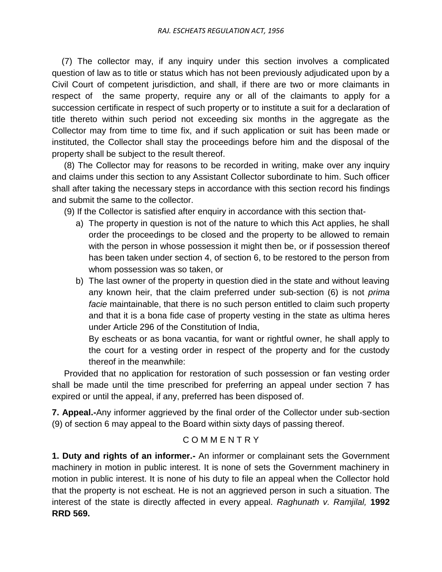(7) The collector may, if any inquiry under this section involves a complicated question of law as to title or status which has not been previously adjudicated upon by a Civil Court of competent jurisdiction, and shall, if there are two or more claimants in respect of the same property, require any or all of the claimants to apply for a succession certificate in respect of such property or to institute a suit for a declaration of title thereto within such period not exceeding six months in the aggregate as the Collector may from time to time fix, and if such application or suit has been made or instituted, the Collector shall stay the proceedings before him and the disposal of the property shall be subject to the result thereof.

 (8) The Collector may for reasons to be recorded in writing, make over any inquiry and claims under this section to any Assistant Collector subordinate to him. Such officer shall after taking the necessary steps in accordance with this section record his findings and submit the same to the collector.

(9) If the Collector is satisfied after enquiry in accordance with this section that-

- a) The property in question is not of the nature to which this Act applies, he shall order the proceedings to be closed and the property to be allowed to remain with the person in whose possession it might then be, or if possession thereof has been taken under section 4, of section 6, to be restored to the person from whom possession was so taken, or
- b) The last owner of the property in question died in the state and without leaving any known heir, that the claim preferred under sub-section (6) is not *prima facie* maintainable, that there is no such person entitled to claim such property and that it is a bona fide case of property vesting in the state as ultima heres under Article 296 of the Constitution of India,

By escheats or as bona vacantia, for want or rightful owner, he shall apply to the court for a vesting order in respect of the property and for the custody thereof in the meanwhile:

 Provided that no application for restoration of such possession or fan vesting order shall be made until the time prescribed for preferring an appeal under section 7 has expired or until the appeal, if any, preferred has been disposed of.

**7. Appeal.-**Any informer aggrieved by the final order of the Collector under sub-section (9) of section 6 may appeal to the Board within sixty days of passing thereof.

# C O M M E N T R Y

**1. Duty and rights of an informer.-** An informer or complainant sets the Government machinery in motion in public interest. It is none of sets the Government machinery in motion in public interest. It is none of his duty to file an appeal when the Collector hold that the property is not escheat. He is not an aggrieved person in such a situation. The interest of the state is directly affected in every appeal. *Raghunath v. Ramjilal,* **1992 RRD 569.**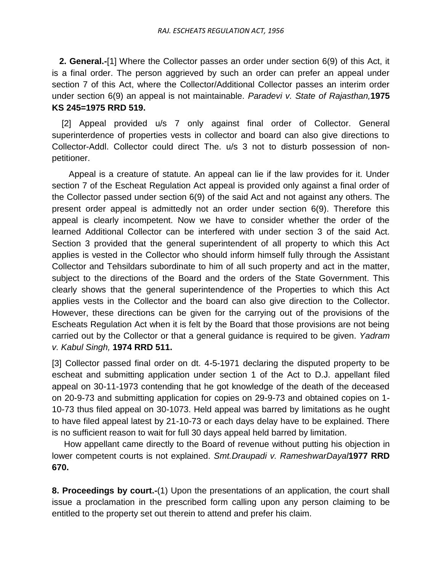**2. General.-**[1] Where the Collector passes an order under section 6(9) of this Act, it is a final order. The person aggrieved by such an order can prefer an appeal under section 7 of this Act, where the Collector/Additional Collector passes an interim order under section 6(9) an appeal is not maintainable. *Paradevi v. State of Rajasthan,***1975 KS 245=1975 RRD 519.**

 [2] Appeal provided u/s 7 only against final order of Collector. General superinterdence of properties vests in collector and board can also give directions to Collector-Addl. Collector could direct The. u/s 3 not to disturb possession of nonpetitioner.

 Appeal is a creature of statute. An appeal can lie if the law provides for it. Under section 7 of the Escheat Regulation Act appeal is provided only against a final order of the Collector passed under section 6(9) of the said Act and not against any others. The present order appeal is admittedly not an order under section 6(9). Therefore this appeal is clearly incompetent. Now we have to consider whether the order of the learned Additional Collector can be interfered with under section 3 of the said Act. Section 3 provided that the general superintendent of all property to which this Act applies is vested in the Collector who should inform himself fully through the Assistant Collector and Tehsildars subordinate to him of all such property and act in the matter, subject to the directions of the Board and the orders of the State Government. This clearly shows that the general superintendence of the Properties to which this Act applies vests in the Collector and the board can also give direction to the Collector. However, these directions can be given for the carrying out of the provisions of the Escheats Regulation Act when it is felt by the Board that those provisions are not being carried out by the Collector or that a general guidance is required to be given. *Yadram v. Kabul Singh,* **1974 RRD 511.**

[3] Collector passed final order on dt. 4-5-1971 declaring the disputed property to be escheat and submitting application under section 1 of the Act to D.J. appellant filed appeal on 30-11-1973 contending that he got knowledge of the death of the deceased on 20-9-73 and submitting application for copies on 29-9-73 and obtained copies on 1- 10-73 thus filed appeal on 30-1073. Held appeal was barred by limitations as he ought to have filed appeal latest by 21-10-73 or each days delay have to be explained. There is no sufficient reason to wait for full 30 days appeal held barred by limitation.

 How appellant came directly to the Board of revenue without putting his objection in lower competent courts is not explained. *Smt.Draupadi v. RameshwarDayal***1977 RRD 670.**

**8. Proceedings by court.-**(1) Upon the presentations of an application, the court shall issue a proclamation in the prescribed form calling upon any person claiming to be entitled to the property set out therein to attend and prefer his claim.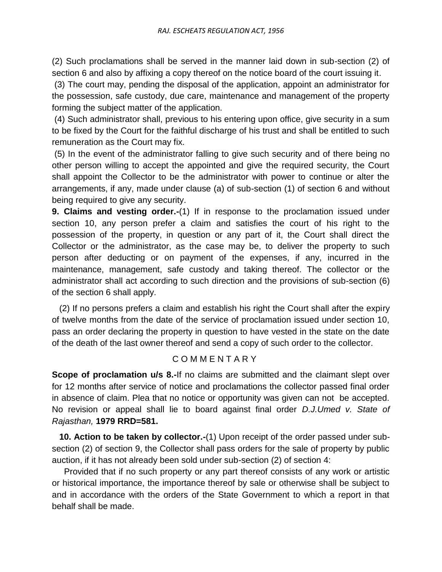(2) Such proclamations shall be served in the manner laid down in sub-section (2) of section 6 and also by affixing a copy thereof on the notice board of the court issuing it.

(3) The court may, pending the disposal of the application, appoint an administrator for the possession, safe custody, due care, maintenance and management of the property forming the subject matter of the application.

(4) Such administrator shall, previous to his entering upon office, give security in a sum to be fixed by the Court for the faithful discharge of his trust and shall be entitled to such remuneration as the Court may fix.

(5) In the event of the administrator falling to give such security and of there being no other person willing to accept the appointed and give the required security, the Court shall appoint the Collector to be the administrator with power to continue or alter the arrangements, if any, made under clause (a) of sub-section (1) of section 6 and without being required to give any security.

**9. Claims and vesting order.-**(1) If in response to the proclamation issued under section 10, any person prefer a claim and satisfies the court of his right to the possession of the property, in question or any part of it, the Court shall direct the Collector or the administrator, as the case may be, to deliver the property to such person after deducting or on payment of the expenses, if any, incurred in the maintenance, management, safe custody and taking thereof. The collector or the administrator shall act according to such direction and the provisions of sub-section (6) of the section 6 shall apply.

 (2) If no persons prefers a claim and establish his right the Court shall after the expiry of twelve months from the date of the service of proclamation issued under section 10, pass an order declaring the property in question to have vested in the state on the date of the death of the last owner thereof and send a copy of such order to the collector.

# C O M M E N T A R Y

**Scope of proclamation u/s 8.-If no claims are submitted and the claimant slept over** for 12 months after service of notice and proclamations the collector passed final order in absence of claim. Plea that no notice or opportunity was given can not be accepted. No revision or appeal shall lie to board against final order *D.J.Umed v. State of Rajasthan,* **1979 RRD=581.**

**10. Action to be taken by collector.-(1)** Upon receipt of the order passed under subsection (2) of section 9, the Collector shall pass orders for the sale of property by public auction, if it has not already been sold under sub-section (2) of section 4:

 Provided that if no such property or any part thereof consists of any work or artistic or historical importance, the importance thereof by sale or otherwise shall be subject to and in accordance with the orders of the State Government to which a report in that behalf shall be made.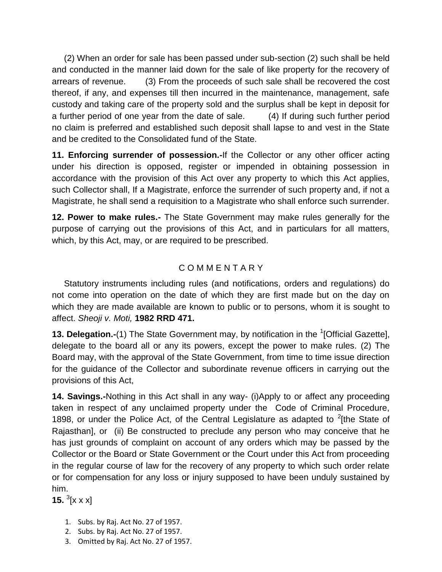(2) When an order for sale has been passed under sub-section (2) such shall be held and conducted in the manner laid down for the sale of like property for the recovery of arrears of revenue. (3) From the proceeds of such sale shall be recovered the cost thereof, if any, and expenses till then incurred in the maintenance, management, safe custody and taking care of the property sold and the surplus shall be kept in deposit for a further period of one year from the date of sale. (4) If during such further period no claim is preferred and established such deposit shall lapse to and vest in the State and be credited to the Consolidated fund of the State.

**11. Enforcing surrender of possession.-**If the Collector or any other officer acting under his direction is opposed, register or impended in obtaining possession in accordance with the provision of this Act over any property to which this Act applies, such Collector shall, If a Magistrate, enforce the surrender of such property and, if not a Magistrate, he shall send a requisition to a Magistrate who shall enforce such surrender.

**12. Power to make rules.-** The State Government may make rules generally for the purpose of carrying out the provisions of this Act, and in particulars for all matters, which, by this Act, may, or are required to be prescribed.

# C O M M E N T A R Y

 Statutory instruments including rules (and notifications, orders and regulations) do not come into operation on the date of which they are first made but on the day on which they are made available are known to public or to persons, whom it is sought to affect. *Sheoji v. Moti,* **1982 RRD 471.**

**13. Delegation.-**(1) The State Government may, by notification in the <sup>1</sup>[Official Gazette], delegate to the board all or any its powers, except the power to make rules. (2) The Board may, with the approval of the State Government, from time to time issue direction for the guidance of the Collector and subordinate revenue officers in carrying out the provisions of this Act,

**14. Savings.-**Nothing in this Act shall in any way- (i)Apply to or affect any proceeding taken in respect of any unclaimed property under the Code of Criminal Procedure, 1898, or under the Police Act, of the Central Legislature as adapted to  $2$ [the State of Rajasthan], or (ii) Be constructed to preclude any person who may conceive that he has just grounds of complaint on account of any orders which may be passed by the Collector or the Board or State Government or the Court under this Act from proceeding in the regular course of law for the recovery of any property to which such order relate or for compensation for any loss or injury supposed to have been unduly sustained by him.

**15.**  ${}^{3}[$ **x x x** $]$ 

- 1. Subs. by Raj. Act No. 27 of 1957.
- 2. Subs. by Raj. Act No. 27 of 1957.
- 3. Omitted by Raj. Act No. 27 of 1957.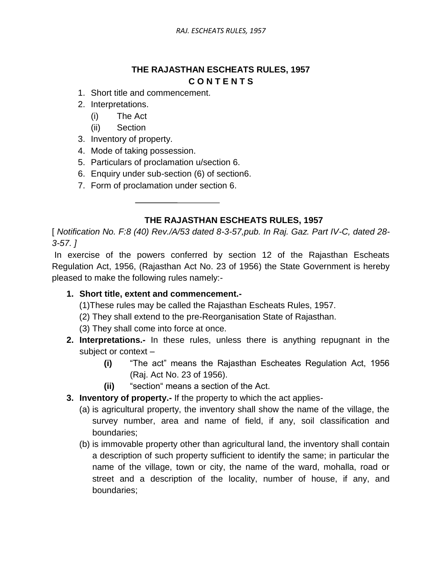# **THE RAJASTHAN ESCHEATS RULES, 1957 C O N T E N T S**

- 1. Short title and commencement.
- 2. Interpretations.
	- (i) The Act
	- (ii) Section
- 3. Inventory of property.
- 4. Mode of taking possession.
- 5. Particulars of proclamation u/section 6.
- 6. Enquiry under sub-section (6) of section6.
- 7. Form of proclamation under section 6.

# **THE RAJASTHAN ESCHEATS RULES, 1957**

[ *Notification No. F:8 (40) Rev./A/53 dated 8-3-57,pub. In Raj. Gaz. Part IV-C, dated 28- 3-57. ]*

In exercise of the powers conferred by section 12 of the Rajasthan Escheats Regulation Act, 1956, (Rajasthan Act No. 23 of 1956) the State Government is hereby pleased to make the following rules namely:-

# **1. Short title, extent and commencement.-**

- (1)These rules may be called the Rajasthan Escheats Rules, 1957.
- (2) They shall extend to the pre-Reorganisation State of Rajasthan.
- (3) They shall come into force at once.
- **2. Interpretations.-** In these rules, unless there is anything repugnant in the subject or context –
	- **(i)** "The act" means the Rajasthan Escheates Regulation Act, 1956 (Raj. Act No. 23 of 1956).
	- **(ii)** "section" means a section of the Act.
- **3. Inventory of property.-** If the property to which the act applies-
	- (a) is agricultural property, the inventory shall show the name of the village, the survey number, area and name of field, if any, soil classification and boundaries;
	- (b) is immovable property other than agricultural land, the inventory shall contain a description of such property sufficient to identify the same; in particular the name of the village, town or city, the name of the ward, mohalla, road or street and a description of the locality, number of house, if any, and boundaries;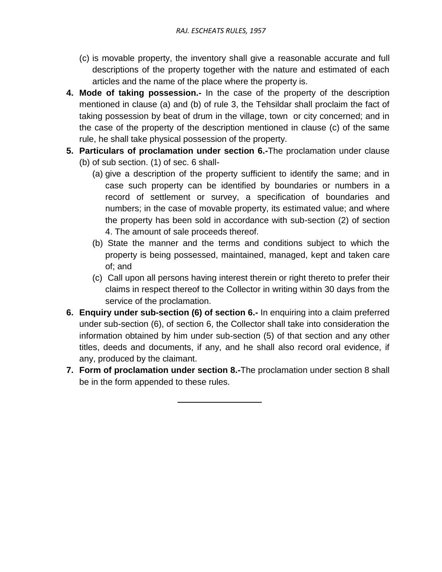- (c) is movable property, the inventory shall give a reasonable accurate and full descriptions of the property together with the nature and estimated of each articles and the name of the place where the property is.
- **4. Mode of taking possession.-** In the case of the property of the description mentioned in clause (a) and (b) of rule 3, the Tehsildar shall proclaim the fact of taking possession by beat of drum in the village, town or city concerned; and in the case of the property of the description mentioned in clause (c) of the same rule, he shall take physical possession of the property.
- **5. Particulars of proclamation under section 6.-**The proclamation under clause (b) of sub section. (1) of sec. 6 shall-
	- (a) give a description of the property sufficient to identify the same; and in case such property can be identified by boundaries or numbers in a record of settlement or survey, a specification of boundaries and numbers; in the case of movable property, its estimated value; and where the property has been sold in accordance with sub-section (2) of section 4. The amount of sale proceeds thereof.
	- (b) State the manner and the terms and conditions subject to which the property is being possessed, maintained, managed, kept and taken care of; and
	- (c) Call upon all persons having interest therein or right thereto to prefer their claims in respect thereof to the Collector in writing within 30 days from the service of the proclamation.
- **6. Enquiry under sub-section (6) of section 6.-** In enquiring into a claim preferred under sub-section (6), of section 6, the Collector shall take into consideration the information obtained by him under sub-section (5) of that section and any other titles, deeds and documents, if any, and he shall also record oral evidence, if any, produced by the claimant.
- **7. Form of proclamation under section 8.-**The proclamation under section 8 shall be in the form appended to these rules.